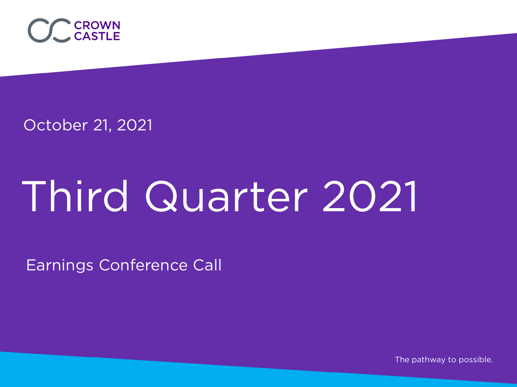

October 21, 2021

# Third Quarter 2021

Earnings Conference Call

The pathway to possible.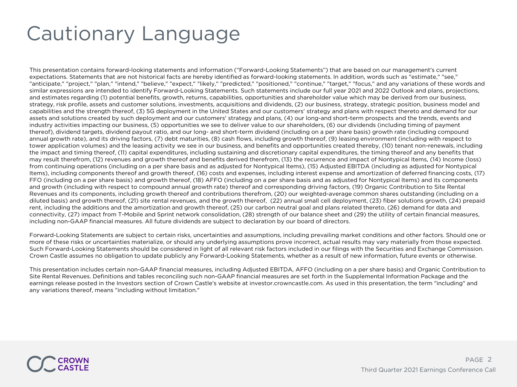# Cautionary Language

This presentation contains forward-looking statements and information ("Forward-Looking Statements") that are based on our management's current expectations. Statements that are not historical facts are hereby identified as forward-looking statements. In addition, words such as "estimate," "see," "anticipate," "project," "plan," "intend," "believe," "expect," "likely," "predicted," "positioned," "continue," "target," "focus," and any variations of these words and similar expressions are intended to identify Forward-Looking Statements. Such statements include our full year 2021 and 2022 Outlook and plans, projections, and estimates regarding (1) potential benefits, growth, returns, capabilities, opportunities and shareholder value which may be derived from our business, strategy, risk profile, assets and customer solutions, investments, acquisitions and dividends, (2) our business, strategy, strategic position, business model and capabilities and the strength thereof, (3) 5G deployment in the United States and our customers' strategy and plans with respect thereto and demand for our assets and solutions created by such deployment and our customers' strategy and plans, (4) our long-and short-term prospects and the trends, events and industry activities impacting our business, (5) opportunities we see to deliver value to our shareholders, (6) our dividends (including timing of payment thereof), dividend targets, dividend payout ratio, and our long- and short-term dividend (including on a per share basis) growth rate (including compound annual growth rate), and its driving factors, (7) debt maturities, (8) cash flows, including growth thereof, (9) leasing environment (including with respect to tower application volumes) and the leasing activity we see in our business, and benefits and opportunities created thereby, (10) tenant non-renewals, including the impact and timing thereof, (11) capital expenditures, including sustaining and discretionary capital expenditures, the timing thereof and any benefits that may result therefrom, (12) revenues and growth thereof and benefits derived therefrom, (13) the recurrence and impact of Nontypical Items, (14) Income (loss) from continuing operations (including on a per share basis and as adjusted for Nontypical Items), (15) Adjusted EBITDA (including as adjusted for Nontypical Items), including components thereof and growth thereof, (16) costs and expenses, including interest expense and amortization of deferred financing costs, (17) FFO (including on a per share basis) and growth thereof, (18) AFFO (including on a per share basis and as adjusted for Nontypical Items) and its components and growth (including with respect to compound annual growth rate) thereof and corresponding driving factors, (19) Organic Contribution to Site Rental Revenues and its components, including growth thereof and contributions therefrom, (20) our weighted-average common shares outstanding (including on a diluted basis) and growth thereof, (21) site rental revenues, and the growth thereof, (22) annual small cell deployment, (23) fiber solutions growth, (24) prepaid rent, including the additions and the amortization and growth thereof, (25) our carbon neutral goal and plans related thereto, (26) demand for data and connectivity, (27) impact from T-Mobile and Sprint network consolidation, (28) strength of our balance sheet and (29) the utility of certain financial measures, including non-GAAP financial measures. All future dividends are subject to declaration by our board of directors.

Forward-Looking Statements are subject to certain risks, uncertainties and assumptions, including prevailing market conditions and other factors. Should one or more of these risks or uncertainties materialize, or should any underlying assumptions prove incorrect, actual results may vary materially from those expected. Such Forward-Looking Statements should be considered in light of all relevant risk factors included in our filings with the Securities and Exchange Commission. Crown Castle assumes no obligation to update publicly any Forward-Looking Statements, whether as a result of new information, future events or otherwise.

This presentation includes certain non-GAAP financial measures, including Adjusted EBITDA, AFFO (including on a per share basis) and Organic Contribution to Site Rental Revenues. Definitions and tables reconciling such non-GAAP financial measures are set forth in the Supplemental Information Package and the earnings release posted in the Investors section of Crown Castle's website at investor.crowncastle.com. As used in this presentation, the term "including" and any variations thereof, means "including without limitation."

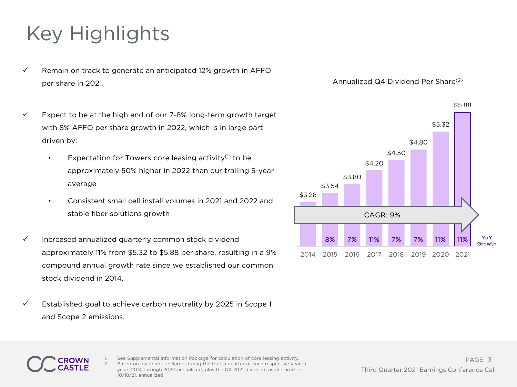# Key Highlights

- $\checkmark$  Remain on track to generate an anticipated 12% growth in AFFO per share in 2021.
- $\checkmark$  Expect to be at the high end of our 7-8% long-term growth target with 8% AFFO per share growth in 2022, which is in large part driven by:
	- Expectation for Towers core leasing activity $(1)$  to be approximately 50% higher in 2022 than our trailing 5-year average
	- Consistent small cell install volumes in 2021 and 2022 and stable fiber solutions growth
- $\checkmark$  Increased annualized quarterly common stock dividend approximately 11% from \$5.32 to \$5.88 per share, resulting in a 9% compound annual growth rate since we established our common stock dividend in 2014.
- $\checkmark$  Established goal to achieve carbon neutrality by 2025 in Scope 1 and Scope 2 emissions.

### Annualized Q4 Dividend Per Share(2)



See Supplemental Information Package for calculation of core leasing activity. 2. Based on dividends declared during the fourth quarter of each respective year in years 2014 through 2020 annualized, plus the Q4 2021 dividend, as declared on 10/18/21, annualized.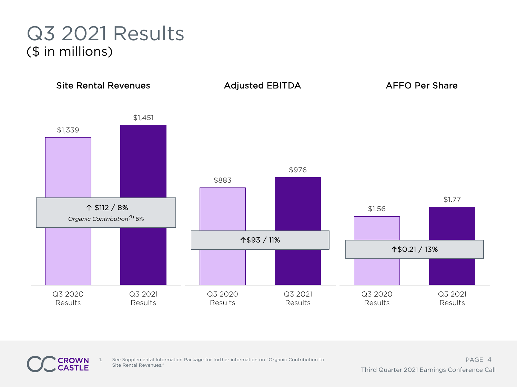## Q3 2021 Results (\$ in millions)



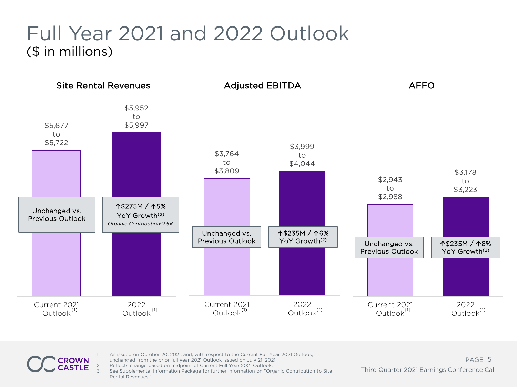# Full Year 2021 and 2022 Outlook (\$ in millions)



- As issued on October 20, 2021, and, with respect to the Current Full Year 2021 Outlook, unchanged from the prior full year 2021 Outlook issued on July 21, 2021.
- 2. Reflects change based on midpoint of Current Full Year 2021 Outlook.
	- 3. See Supplemental Information Package for further information on "Organic Contribution to Site Rental Revenues."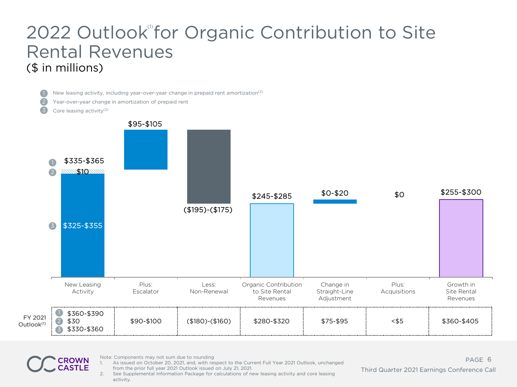### 2022 Outlook for Organic Contribution to Site Rental Revenues (\$ in millions)

2

New leasing activity, including year-over-year change in prepaid rent amortization(2)

- Year-over-year change in amortization of prepaid rent
- Core leasing activity(2)





Note: Components may not sum due to rounding

1. As issued on October 20, 2021, and, with respect to the Current Full Year 2021 Outlook, unchanged from the prior full year 2021 Outlook issued on July 21, 2021.

PAGE 6 Third Quarter 2021 Earnings Conference Call

2. See Supplemental Information Package for calculations of new leasing activity and core leasing activity.